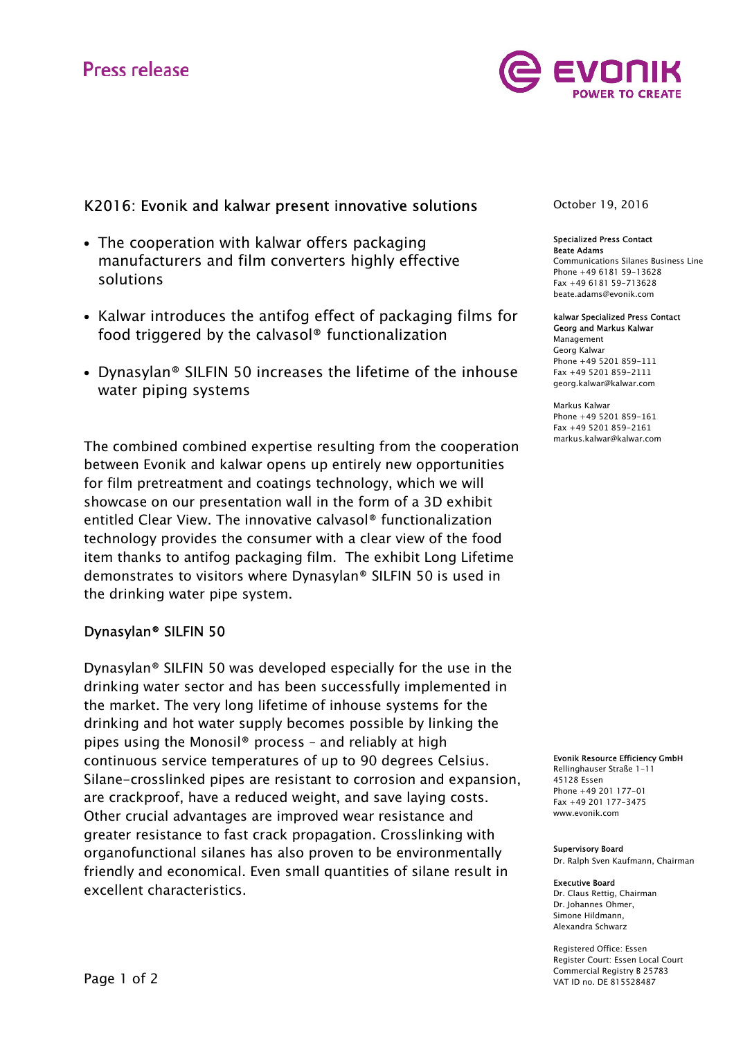# **Press release**



# K2016: Evonik and kalwar present innovative solutions

- The cooperation with kalwar offers packaging manufacturers and film converters highly effective solutions
- Kalwar introduces the antifog effect of packaging films for food triggered by the calvasol® functionalization
- Dynasylan® SILFIN 50 increases the lifetime of the inhouse water piping systems

The combined combined expertise resulting from the cooperation between Evonik and kalwar opens up entirely new opportunities for film pretreatment and coatings technology, which we will showcase on our presentation wall in the form of a 3D exhibit entitled Clear View. The innovative calvasol® functionalization technology provides the consumer with a clear view of the food item thanks to antifog packaging film. The exhibit Long Lifetime demonstrates to visitors where Dynasylan® SILFIN 50 is used in the drinking water pipe system.

## Dynasylan® SILFIN 50

Dynasylan® SILFIN 50 was developed especially for the use in the drinking water sector and has been successfully implemented in the market. The very long lifetime of inhouse systems for the drinking and hot water supply becomes possible by linking the pipes using the Monosil® process – and reliably at high continuous service temperatures of up to 90 degrees Celsius. Silane-crosslinked pipes are resistant to corrosion and expansion, are crackproof, have a reduced weight, and save laying costs. Other crucial advantages are improved wear resistance and greater resistance to fast crack propagation. Crosslinking with organofunctional silanes has also proven to be environmentally friendly and economical. Even small quantities of silane result in excellent characteristics.

October 19, 2016

#### Specialized Press Contact Beate Adams

Communications Silanes Business Line Phone +49 6181 59-13628 Fax +49 6181 59-713628 beate.adams@evonik.com

#### kalwar Specialized Press Contact

Georg and Markus Kalwar Management Georg Kalwar Phone +49 5201 859-111 Fax +49 5201 859-2111 georg.kalwar@kalwar.com

Markus Kalwar Phone +49 5201 859-161 Fax +49 5201 859-2161 markus.kalwar@kalwar.com

Evonik Resource Efficiency GmbH

Rellinghauser Straße 1-11 45128 Essen Phone +49 201 177-01 Fax +49 201 177-3475 www.evonik.com

#### Supervisory Board

Dr. Ralph Sven Kaufmann, Chairman

#### Executive Board

Dr. Claus Rettig, Chairman Dr. Johannes Ohmer, Simone Hildmann, Alexandra Schwarz

Registered Office: Essen Register Court: Essen Local Court Commercial Registry B 25783 VAT ID no. DE 815528487